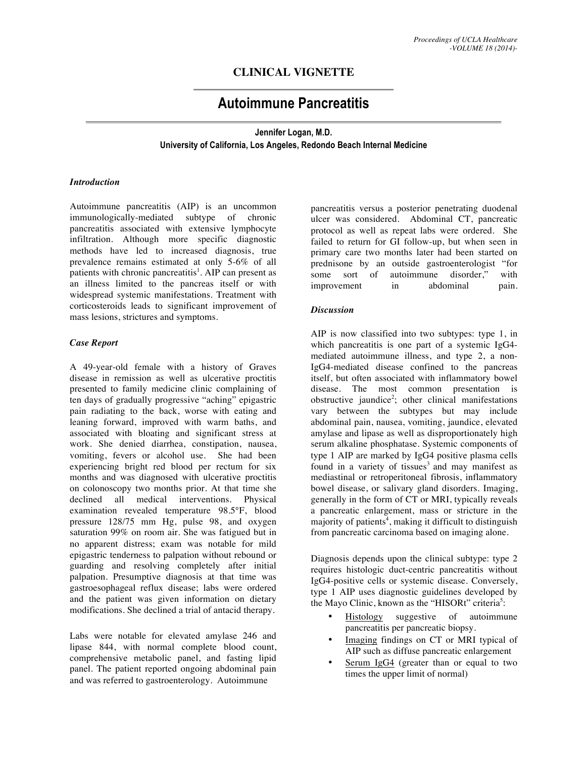## **CLINICAL VIGNETTE**

# **Autoimmune Pancreatitis**

### **Jennifer Logan, M.D. University of California, Los Angeles, Redondo Beach Internal Medicine**

#### *Introduction*

Autoimmune pancreatitis (AIP) is an uncommon immunologically-mediated subtype of chronic pancreatitis associated with extensive lymphocyte infiltration. Although more specific diagnostic methods have led to increased diagnosis, true prevalence remains estimated at only 5-6% of all patients with chronic pancreatitis<sup>1</sup>. AIP can present as an illness limited to the pancreas itself or with widespread systemic manifestations. Treatment with corticosteroids leads to significant improvement of mass lesions, strictures and symptoms.

#### *Case Report*

A 49-year-old female with a history of Graves disease in remission as well as ulcerative proctitis presented to family medicine clinic complaining of ten days of gradually progressive "aching" epigastric pain radiating to the back, worse with eating and leaning forward, improved with warm baths, and associated with bloating and significant stress at work. She denied diarrhea, constipation, nausea, vomiting, fevers or alcohol use. She had been experiencing bright red blood per rectum for six months and was diagnosed with ulcerative proctitis on colonoscopy two months prior. At that time she declined all medical interventions. Physical examination revealed temperature 98.5°F, blood pressure 128/75 mm Hg, pulse 98, and oxygen saturation 99% on room air. She was fatigued but in no apparent distress; exam was notable for mild epigastric tenderness to palpation without rebound or guarding and resolving completely after initial palpation. Presumptive diagnosis at that time was gastroesophageal reflux disease; labs were ordered and the patient was given information on dietary modifications. She declined a trial of antacid therapy.

Labs were notable for elevated amylase 246 and lipase 844, with normal complete blood count, comprehensive metabolic panel, and fasting lipid panel. The patient reported ongoing abdominal pain and was referred to gastroenterology. Autoimmune

pancreatitis versus a posterior penetrating duodenal ulcer was considered. Abdominal CT, pancreatic protocol as well as repeat labs were ordered. She failed to return for GI follow-up, but when seen in primary care two months later had been started on prednisone by an outside gastroenterologist "for some sort of autoimmune disorder," with improvement in abdominal pain.

#### *Discussion*

AIP is now classified into two subtypes: type 1, in which pancreatitis is one part of a systemic IgG4 mediated autoimmune illness, and type 2, a non-IgG4-mediated disease confined to the pancreas itself, but often associated with inflammatory bowel disease. The most common presentation is obstructive jaundice<sup>2</sup>; other clinical manifestations vary between the subtypes but may include abdominal pain, nausea, vomiting, jaundice, elevated amylase and lipase as well as disproportionately high serum alkaline phosphatase. Systemic components of type 1 AIP are marked by IgG4 positive plasma cells found in a variety of tissues $3$  and may manifest as mediastinal or retroperitoneal fibrosis, inflammatory bowel disease, or salivary gland disorders. Imaging, generally in the form of CT or MRI, typically reveals a pancreatic enlargement, mass or stricture in the majority of patients<sup>4</sup>, making it difficult to distinguish from pancreatic carcinoma based on imaging alone.

Diagnosis depends upon the clinical subtype: type 2 requires histologic duct-centric pancreatitis without IgG4-positive cells or systemic disease. Conversely, type 1 AIP uses diagnostic guidelines developed by the Mayo Clinic, known as the "HISORt" criteria<sup>5</sup>:

- Histology suggestive of autoimmune pancreatitis per pancreatic biopsy.
- Imaging findings on CT or MRI typical of AIP such as diffuse pancreatic enlargement
- Serum IgG4 (greater than or equal to two times the upper limit of normal)